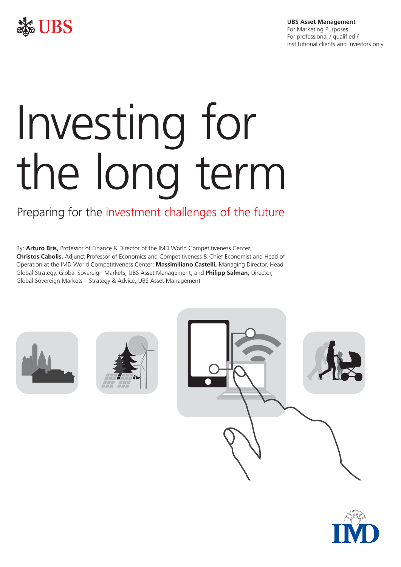

**UBS Asset Management**  For Marketing Purposes For professional / qualified / institutional clients and investors only

# Investing for the long term

### Preparing for the investment challenges of the future

 By: **Arturo Bris,** Professor of Finance & Director of the IMD World Competitiveness Center; **Christos Cabolis,** Adjunct Professor of Economics and Competitiveness & Chief Economist and Head of Operation at the IMD World Competitiveness Center; **Massimiliano Castelli,** Managing Director, Head Global Strategy, Global Sovereign Markets, UBS Asset Management; and **Philipp Salman,** Director, Global Sovereign Markets – Strategy & Advice, UBS Asset Management







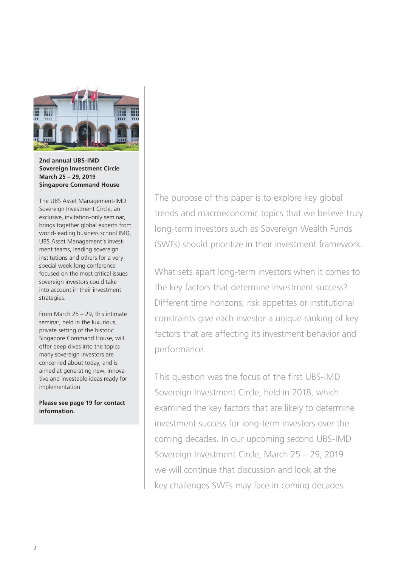

**2nd annual UBS-IMD Sovereign Investment Circle March 25 – 29, 2019 Singapore Command House** 

The UBS Asset Management-IMD Sovereign Investment Circle, an exclusive, invitation-only seminar, brings together global experts from world-leading business school IMD, UBS Asset Management's investment teams, leading sovereign institutions and others for a very special week-long conference focused on the most critical issues sovereign investors could take into account in their investment strategies.

From March 25 – 29, this intimate seminar, held in the luxurious, private setting of the historic Singapore Command House, will offer deep dives into the topics many sovereign investors are concerned about today, and is aimed at generating new, innovative and investable ideas ready for implementation.

**Please see page 19 for contact information.** 

The purpose of this paper is to explore key global trends and macroeconomic topics that we believe truly long-term investors such as Sovereign Wealth Funds (SWFs) should prioritize in their investment framework.

What sets apart long-term investors when it comes to the key factors that determine investment success? Different time horizons, risk appetites or institutional constraints give each investor a unique ranking of key factors that are affecting its investment behavior and performance.

This question was the focus of the first UBS-IMD Sovereign Investment Circle, held in 2018, which examined the key factors that are likely to determine investment success for long-term investors over the coming decades. In our upcoming second UBS-IMD Sovereign Investment Circle, March 25 – 29, 2019 we will continue that discussion and look at the key challenges SWFs may face in coming decades.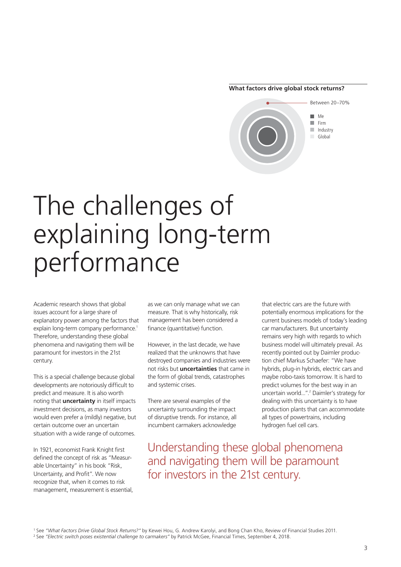#### **What factors drive global stock returns?**



## The challenges of explaining long-term performance

Academic research shows that global issues account for a large share of explanatory power among the factors that explain long-term company performance.<sup>1</sup> Therefore, understanding these global phenomena and navigating them will be paramount for investors in the 21st century.

This is a special challenge because global developments are notoriously difficult to predict and measure. It is also worth noting that **uncertainty** in itself impacts investment decisions, as many investors would even prefer a (mildly) negative, but certain outcome over an uncertain situation with a wide range of outcomes.

In 1921, economist Frank Knight first defined the concept of risk as "Measurable Uncertainty" in his book "Risk, Uncertainty, and Profit". We now recognize that, when it comes to risk management, measurement is essential,

as we can only manage what we can measure. That is why historically, risk management has been considered a finance (quantitative) function.

However, in the last decade, we have realized that the unknowns that have destroyed companies and industries were not risks but **uncertainties** that came in the form of global trends, catastrophes and systemic crises.

There are several examples of the uncertainty surrounding the impact of disruptive trends. For instance, all incumbent carmakers acknowledge current business models of today's leading car manufacturers. But uncertainty remains very high with regards to which business model will ultimately prevail. As recently pointed out by Daimler production chief Markus Schaefer: "We have hybrids, plug-in hybrids, electric cars and maybe robo-taxis tomorrow. It is hard to predict volumes for the best way in an uncertain world...".<sup>2</sup> Daimler's strategy for dealing with this uncertainty is to have production plants that can accommodate all types of powertrains, including hydrogen fuel cell cars.

that electric cars are the future with potentially enormous implications for the

Understanding these global phenomena and navigating them will be paramount for investors in the 21st century.

<sup>1</sup> See "What Factors Drive Global Stock Returns?" by Kewei Hou, G. Andrew Karolyi, and Bong Chan Kho, Review of Financial Studies 2011.<br><sup>2</sup> See "Electric switch poses existential challenge to carmakers" by Patrick McGee,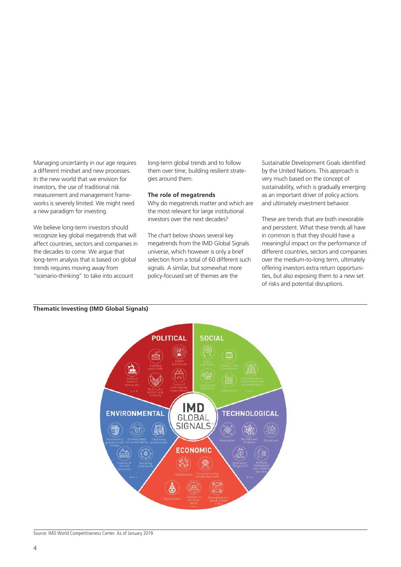Managing uncertainty in our age requires a different mindset and new processes. In the new world that we envision for investors, the use of traditional risk measurement and management frameworks is severely limited. We might need a new paradigm for investing.

We believe long-term investors should recognize key global megatrends that will affect countries, sectors and companies in the decades to come. We argue that long-term analysis that is based on global trends requires moving away from "scenario-thinking" to take into account

long-term global trends and to follow them over time, building resilient strategies around them.

#### **The role of megatrends**

Why do megatrends matter and which are the most relevant for large institutional investors over the next decades?

The chart below shows several key megatrends from the IMD Global Signals universe, which however is only a brief selection from a total of 60 different such signals. A similar, but somewhat more policy-focused set of themes are the

Sustainable Development Goals identifed by the United Nations. This approach is very much based on the concept of sustainability, which is gradually emerging as an important driver of policy actions and ultimately investment behavior.

These are trends that are both inexorable and persistent. What these trends all have in common is that they should have a meaningful impact on the performance of different countries, sectors and companies over the medium-to-long term, ultimately offering investors extra return opportunities, but also exposing them to a new set of risks and potential disruptions.



#### **Thematic Investing (IMD Global Signals)**

Source: IMD World Competitiveness Center. As of January 2019.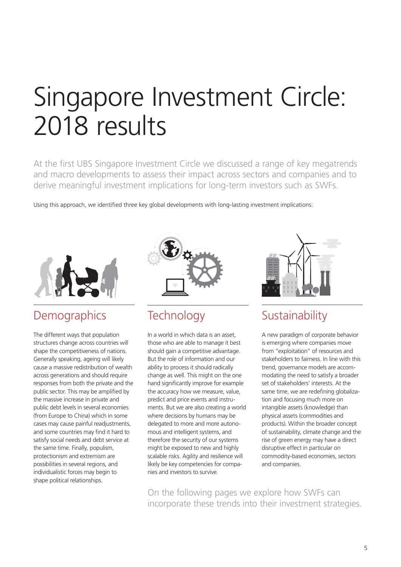## Singapore Investment Circle: 2018 results

At the first UBS Singapore Investment Circle we discussed a range of key megatrends and macro developments to assess their impact across sectors and companies and to derive meaningful investment implications for long-term investors such as SWFs.

Using this approach, we identifed three key global developments with long-lasting investment implications:



### **Demographics**

The different ways that population structures change across countries will shape the competitiveness of nations. Generally speaking, ageing will likely cause a massive redistribution of wealth across generations and should require responses from both the private and the public sector. This may be amplified by the massive increase in private and public debt levels in several economies (from Europe to China) which in some cases may cause painful readjustments, and some countries may find it hard to satisfy social needs and debt service at the same time. Finally, populism, protectionism and extremism are possibilities in several regions, and individualistic forces may begin to shape political relationships.



### **Technology**

In a world in which data is an asset, those who are able to manage it best should gain a competitive advantage. But the role of information and our ability to process it should radically change as well. This might on the one hand significantly improve for example the accuracy how we measure, value, predict and price events and instruments. But we are also creating a world where decisions by humans may be delegated to more and more autonomous and intelligent systems, and therefore the security of our systems might be exposed to new and highly scalable risks. Agility and resilience will likely be key competencies for companies and investors to survive.



### Sustainability

A new paradigm of corporate behavior is emerging where companies move from "exploitation" of resources and stakeholders to fairness. In line with this trend, governance models are accommodating the need to satisfy a broader set of stakeholders' interests. At the same time, we are redefining globalization and focusing much more on intangible assets (knowledge) than physical assets (commodities and products). Within the broader concept of sustainability, climate change and the rise of green energy may have a direct disruptive effect in particular on commodity-based economies, sectors and companies.

On the following pages we explore how SWFs can incorporate these trends into their investment strategies.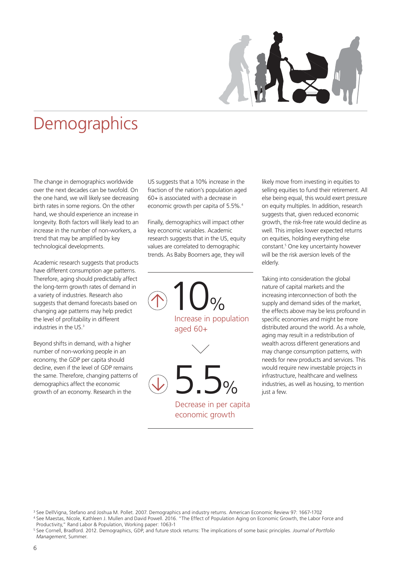## **Demographics**

The change in demographics worldwide over the next decades can be twofold. On the one hand, we will likely see decreasing birth rates in some regions. On the other hand, we should experience an increase in longevity. Both factors will likely lead to an increase in the number of non-workers, a trend that may be amplifed by key technological developments.

Academic research suggests that products have different consumption age patterns. Therefore, aging should predictably affect the long-term growth rates of demand in a variety of industries. Research also suggests that demand forecasts based on changing age patterns may help predict the level of profitability in different industries in the US.<sup>3</sup>

Beyond shifts in demand, with a higher number of non-working people in an economy, the GDP per capita should decline, even if the level of GDP remains the same. Therefore, changing patterns of demographics affect the economic growth of an economy. Research in the

US suggests that a 10% increase in the fraction of the nation's population aged 60+ is associated with a decrease in economic growth per capita of 5.5%.<sup>4</sup>

Finally, demographics will impact other key economic variables. Academic research suggests that in the US, equity values are correlated to demographic trends. As Baby Boomers age, they will

 $10<sub>°</sub>$ Increase in population aged 60+

5.5% Decrease in per capita

economic growth

well. This implies lower expected returns on equities, holding everything else constant.<sup>5</sup> One key uncertainty however will be the risk aversion levels of the elderly. Taking into consideration the global

likely move from investing in equities to selling equities to fund their retirement. All else being equal, this would exert pressure on equity multiples. In addition, research suggests that, given reduced economic growth, the risk-free rate would decline as

nature of capital markets and the increasing interconnection of both the supply and demand sides of the market, the effects above may be less profound in specific economies and might be more distributed around the world. As a whole, aging may result in a redistribution of wealth across different generations and may change consumption patterns, with needs for new products and services. This would require new investable projects in infrastructure, healthcare and wellness industries, as well as housing, to mention just a few.



<sup>4</sup> See Maestas, Nicole, Kathleen J. Mullen and David Powell. 2016. "The Effect of Population Aging on Economic Growth, the Labor Force and Productivity," Rand Labor & Population, Working paper: 1063-1

<sup>5</sup> See Cornell, Bradford. 2012. Demographics, GDP, and future stock returns: The implications of some basic principles. *Journal of Portfolio Management*, Summer.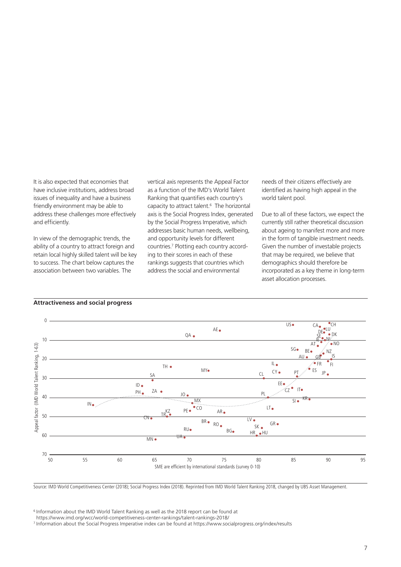It is also expected that economies that have inclusive institutions, address broad issues of inequality and have a business friendly environment may be able to address these challenges more effectively and efficiently.

In view of the demographic trends, the ability of a country to attract foreign and retain local highly skilled talent will be key to success. The chart below captures the association between two variables. The

vertical axis represents the Appeal Factor as a function of the IMD's World Talent Ranking that quantifes each country's capacity to attract talent.6 The horizontal axis is the Social Progress Index, generated by the Social Progress Imperative, which addresses basic human needs, wellbeing, and opportunity levels for different countries.7 Plotting each country according to their scores in each of these rankings suggests that countries which address the social and environmental

needs of their citizens effectively are identifed as having high appeal in the world talent pool.

Due to all of these factors, we expect the currently still rather theoretical discussion about ageing to manifest more and more in the form of tangible investment needs. Given the number of investable projects that may be required, we believe that demographics should therefore be incorporated as a key theme in long-term asset allocation processes.



#### **Attractiveness and social progress**

Source: IMD World Competitiveness Center (2018); Social Progress Index (2018). Reprinted from IMD World Talent Ranking 2018, changed by UBS Asset Management.

6 Information about the IMD World Talent Ranking as well as the 2018 report can be found at

<sup>&</sup>lt;sup>7</sup> Information about the Social Progress Imperative index can be found at<https://www.socialprogress.org/index/results>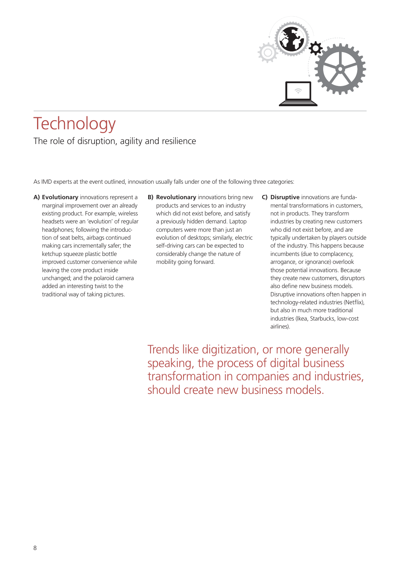

## **Technology** The role of disruption, agility and resilience

As IMD experts at the event outlined, innovation usually falls under one of the following three categories:

- **A) Evolutionary** innovations represent a marginal improvement over an already existing product. For example, wireless headsets were an 'evolution' of regular headphones; following the introduction of seat belts, airbags continued making cars incrementally safer; the ketchup squeeze plastic bottle improved customer convenience while leaving the core product inside unchanged; and the polaroid camera added an interesting twist to the traditional way of taking pictures.
- **B) Revolutionary** innovations bring new products and services to an industry which did not exist before, and satisfy a previously hidden demand. Laptop computers were more than just an evolution of desktops; similarly, electric self-driving cars can be expected to considerably change the nature of mobility going forward.
- **C) Disruptive** innovations are fundamental transformations in customers, not in products. They transform industries by creating new customers who did not exist before, and are typically undertaken by players outside of the industry. This happens because incumbents (due to complacency, arrogance, or ignorance) overlook those potential innovations. Because they create new customers, disruptors also define new business models. Disruptive innovations often happen in technology-related industries (Netfix), but also in much more traditional industries (Ikea, Starbucks, low-cost airlines).

Trends like digitization, or more generally speaking, the process of digital business transformation in companies and industries, should create new business models.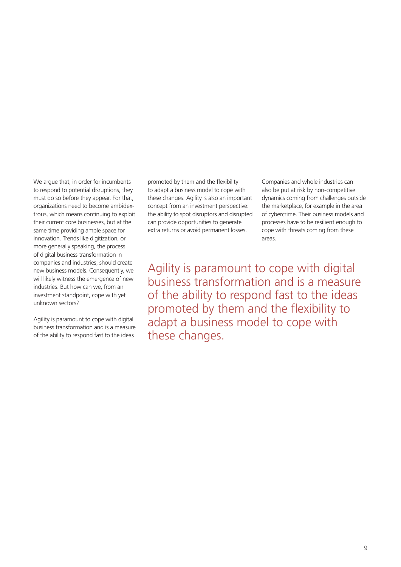We argue that, in order for incumbents to respond to potential disruptions, they must do so before they appear. For that, organizations need to become ambidextrous, which means continuing to exploit their current core businesses, but at the same time providing ample space for innovation. Trends like digitization, or more generally speaking, the process of digital business transformation in companies and industries, should create new business models. Consequently, we will likely witness the emergence of new industries. But how can we, from an investment standpoint, cope with yet unknown sectors?

Agility is paramount to cope with digital business transformation and is a measure of the ability to respond fast to the ideas

promoted by them and the fexibility Companies and whole industries can to adapt a business model to cope with also be put at risk by non-competitive these changes. Agility is also an important dynamics coming from challenges outside concept from an investment perspective: the marketplace, for example in the area the ability to spot disruptors and disrupted of cybercrime. Their business models and can provide opportunities to generate processes have to be resilient enough to extra returns or avoid permanent losses. cope with threats coming from these

areas.

Agility is paramount to cope with digital business transformation and is a measure of the ability to respond fast to the ideas promoted by them and the flexibility to adapt a business model to cope with these changes.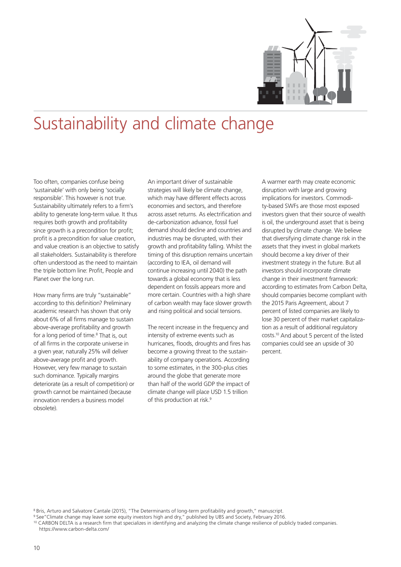

## Sustainability and climate change

Too often, companies confuse being 'sustainable' with only being 'socially responsible'. This however is not true. Sustainability ultimately refers to a firm's ability to generate long-term value. It thus requires both growth and profitability since growth is a precondition for profit; profit is a precondition for value creation. and value creation is an objective to satisfy all stakeholders. Sustainability is therefore often understood as the need to maintain the triple bottom line: Profit, People and Planet over the long run.

How many firms are truly "sustainable" according to this definition? Preliminary academic research has shown that only about 6% of all firms manage to sustain above-average profitability and growth for a long period of time.<sup>8</sup> That is, out of all firms in the corporate universe in a given year, naturally 25% will deliver above-average profit and growth. However, very few manage to sustain such dominance. Typically margins deteriorate (as a result of competition) or growth cannot be maintained (because innovation renders a business model obsolete).

An important driver of sustainable strategies will likely be climate change, which may have different effects across economies and sectors, and therefore across asset returns. As electrifcation and de-carbonization advance, fossil fuel demand should decline and countries and industries may be disrupted, with their growth and proftability falling. Whilst the timing of this disruption remains uncertain (according to IEA, oil demand will continue increasing until 2040) the path towards a global economy that is less dependent on fossils appears more and more certain. Countries with a high share of carbon wealth may face slower growth and rising political and social tensions.

The recent increase in the frequency and intensity of extreme events such as hurricanes, floods, droughts and fires has become a growing threat to the sustainability of company operations. According to some estimates, in the 300-plus cities around the globe that generate more than half of the world GDP the impact of climate change will place USD 1.5 trillion of this production at risk.<sup>9</sup>

A warmer earth may create economic disruption with large and growing implications for investors. Commodity-based SWFs are those most exposed investors given that their source of wealth is oil, the underground asset that is being disrupted by climate change. We believe that diversifying climate change risk in the assets that they invest in global markets should become a key driver of their investment strategy in the future. But all investors should incorporate climate change in their investment framework: according to estimates from Carbon Delta, should companies become compliant with the 2015 Paris Agreement, about 7 percent of listed companies are likely to lose 30 percent of their market capitalization as a result of additional regulatory [costs.10](https://costs.10) And about 5 percent of the listed companies could see an upside of 30 percent.

8 Bris, Arturo and Salvatore Cantale (2015), "The Determinants of long-term proftability and growth," manuscript.

9 See"Climate change may leave some equity investors high and dry," published by UBS and Society, February 2016.

10 CARBON DELTA is a research frm that specializes in identifying and analyzing the climate change resilience of publicly traded companies. <https://www.carbon-delta.com>/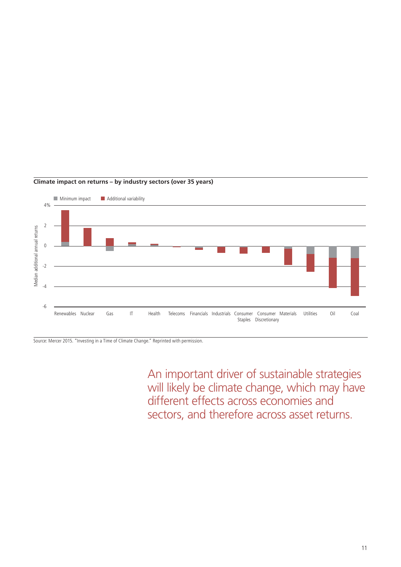

#### **Climate impact on returns – by industry sectors (over 35 years)**

Source: Mercer 2015. "Investing in a Time of Climate Change." Reprinted with permission.

An important driver of sustainable strategies will likely be climate change, which may have different effects across economies and sectors, and therefore across asset returns.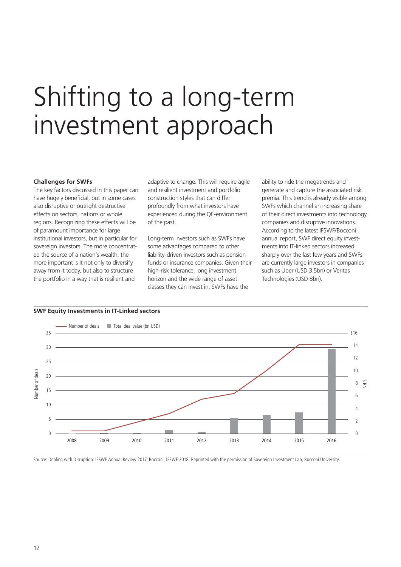## Shifting to a long-term investment approach

#### **Challenges for SWFs**

The key factors discussed in this paper can have hugely beneficial, but in some cases also disruptive or outright destructive effects on sectors, nations or whole regions. Recognizing these effects will be of paramount importance for large institutional investors, but in particular for sovereign investors. The more concentrated the source of a nation's wealth, the more important is it not only to diversify away from it today, but also to structure the portfolio in a way that is resilient and

adaptive to change. This will require agile and resilient investment and portfolio construction styles that can differ profoundly from what investors have experienced during the QE-environment of the past.

Long-term investors such as SWFs have some advantages compared to other liability-driven investors such as pension funds or insurance companies. Given their high-risk tolerance, long investment horizon and the wide range of asset classes they can invest in, SWFs have the

ability to ride the megatrends and generate and capture the associated risk premia. This trend is already visible among SWFs which channel an increasing share of their direct investments into technology companies and disruptive innovations. According to the latest IFSWF/Bocconi annual report, SWF direct equity investments into IT-linked sectors increased sharply over the last few years and SWFs are currently large investors in companies such as Uber (USD 3.5bn) or Veritas Technologies (USD 8bn).



Source: Dealing with Disruption: IFSWF Annual Review 2017. Bocconi, IFSWF 2018. Reprinted with the permission of Sovereign Investment Lab, Bocconi University.

#### **SWF Equity Investments in IT-Linked sectors**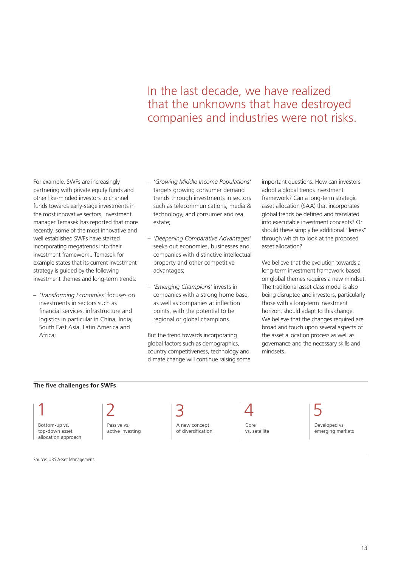### In the last decade, we have realized that the unknowns that have destroyed companies and industries were not risks.

For example, SWFs are increasingly partnering with private equity funds and other like-minded investors to channel funds towards early-stage investments in the most innovative sectors. Investment manager Temasek has reported that more recently, some of the most innovative and well established SWFs have started incorporating megatrends into their investment framework.. Temasek for example states that its current investment strategy is guided by the following investment themes and long-term trends:

– *'Transforming Economies'* focuses on investments in sectors such as fnancial services, infrastructure and logistics in particular in China, India, South East Asia, Latin America and Africa;

- *'Growing Middle Income Populations'*  targets growing consumer demand trends through investments in sectors such as telecommunications, media & technology, and consumer and real estate;
- *'Deepening Comparative Advantages'*  seeks out economies, businesses and companies with distinctive intellectual property and other competitive advantages;
- *'Emerging Champions'* invests in companies with a strong home base, as well as companies at infection points, with the potential to be regional or global champions.

But the trend towards incorporating global factors such as demographics, country competitiveness, technology and climate change will continue raising some important questions. How can investors adopt a global trends investment framework? Can a long-term strategic asset allocation (SAA) that incorporates global trends be defned and translated into executable investment concepts? Or should these simply be additional "lenses" through which to look at the proposed asset allocation?

We believe that the evolution towards a long-term investment framework based on global themes requires a new mindset. The traditional asset class model is also being disrupted and investors, particularly those with a long-term investment horizon, should adapt to this change. We believe that the changes required are broad and touch upon several aspects of the asset allocation process as well as governance and the necessary skills and mindsets.

#### **The five challenges for SWFs**

Bottom-up vs. top-down asset allocation approach

1  $|2|$  3  $|4|$  5

Passive vs. active investing

A new concept of diversification

Core vs. satellite Developed vs. emerging markets

Source: UBS Asset Management.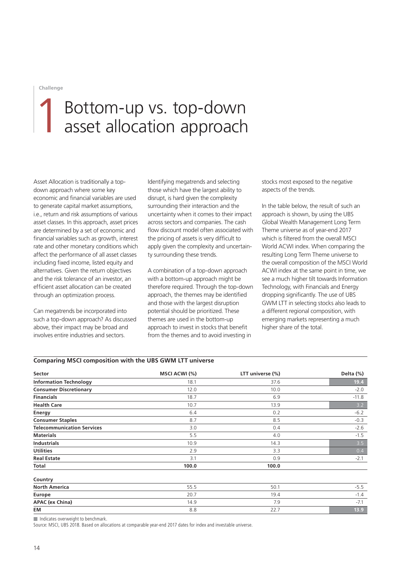## 1 Bottom-up vs. top-down<br>asset allocation approach asset allocation approach

Asset Allocation is traditionally a topdown approach where some key economic and financial variables are used to generate capital market assumptions, i.e., return and risk assumptions of various asset classes. In this approach, asset prices are determined by a set of economic and financial variables such as growth, interest rate and other monetary conditions which affect the performance of all asset classes including fxed income, listed equity and alternatives. Given the return objectives and the risk tolerance of an investor, an efficient asset allocation can be created through an optimization process.

Can megatrends be incorporated into such a top-down approach? As discussed above, their impact may be broad and involves entire industries and sectors.

Identifying megatrends and selecting those which have the largest ability to disrupt, is hard given the complexity surrounding their interaction and the uncertainty when it comes to their impact across sectors and companies. The cash flow discount model often associated with the pricing of assets is very difficult to apply given the complexity and uncertainty surrounding these trends.

A combination of a top-down approach with a bottom-up approach might be therefore required. Through the top-down approach, the themes may be identifed and those with the largest disruption potential should be prioritized. These themes are used in the bottom-up approach to invest in stocks that benefit from the themes and to avoid investing in

stocks most exposed to the negative aspects of the trends.

In the table below, the result of such an approach is shown, by using the UBS Global Wealth Management Long Term Theme universe as of year-end 2017 which is filtered from the overall MSCI World ACWI index. When comparing the resulting Long Term Theme universe to the overall composition of the MSCI World ACWI index at the same point in time, we see a much higher tilt towards Information Technology, with Financials and Energy dropping significantly. The use of UBS GWM LTT in selecting stocks also leads to a different regional composition, with emerging markets representing a much higher share of the total.

#### **Comparing MSCI composition with the UBS GWM LTT universe**

| Sector                            | MSCI ACWI (%) | LTT universe (%) | Delta (%) |
|-----------------------------------|---------------|------------------|-----------|
| <b>Information Technology</b>     | 18.1          | 37.6             | 19.4      |
| <b>Consumer Discretionary</b>     | 12.0          | 10.0             | $-2.0$    |
| <b>Financials</b>                 | 18.7          | 6.9              | $-11.8$   |
| <b>Health Care</b>                | 10.7          | 13.9             | 3.2       |
| <b>Energy</b>                     | 6.4           | 0.2              | $-6.2$    |
| <b>Consumer Staples</b>           | 8.7           | 8.5              | $-0.3$    |
| <b>Telecommunication Services</b> | 3.0           | 0.4              | $-2.6$    |
| <b>Materials</b>                  | 5.5           | 4.0              | $-1.5$    |
| <b>Industrials</b>                | 10.9          | 14.3             | 3.5       |
| <b>Utilities</b>                  | 2.9           | 3.3              | 0.4       |
| <b>Real Estate</b>                | 3.1           | 0.9              | $-2.1$    |
| Total                             | 100.0         | 100.0            |           |
| Country                           |               |                  |           |
| <b>North America</b>              | 55.5          | 50.1             | $-5.5$    |
| Europe                            | 20.7          | 19.4             | $-1.4$    |

**APAC (ex China) 14.9** 7.9 7.1 **EM** 8.8 22.7 **13.9** 

Indicates overweight to benchmark.

Source: MSCI, UBS 2018. Based on allocations at comparable year-end 2017 dates for index and investable universe.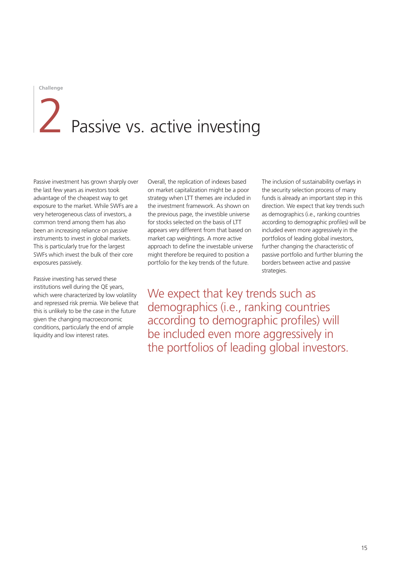# Passive vs. active investing

Passive investment has grown sharply over the last few years as investors took advantage of the cheapest way to get exposure to the market. While SWFs are a very heterogeneous class of investors, a common trend among them has also been an increasing reliance on passive instruments to invest in global markets. This is particularly true for the largest SWFs which invest the bulk of their core exposures passively.

Passive investing has served these institutions well during the QE years, which were characterized by low volatility and repressed risk premia. We believe that this is unlikely to be the case in the future given the changing macroeconomic conditions, particularly the end of ample liquidity and low interest rates.

Overall, the replication of indexes based on market capitalization might be a poor strategy when LTT themes are included in the investment framework. As shown on the previous page, the investible universe for stocks selected on the basis of LTT appears very different from that based on market cap weightings. A more active approach to define the investable universe might therefore be required to position a portfolio for the key trends of the future.

The inclusion of sustainability overlays in the security selection process of many funds is already an important step in this direction. We expect that key trends such as demographics (i.e., ranking countries according to demographic profles) will be included even more aggressively in the portfolios of leading global investors, further changing the characteristic of passive portfolio and further blurring the borders between active and passive strategies.

We expect that key trends such as demographics (i.e., ranking countries according to demographic profles) will be included even more aggressively in the portfolios of leading global investors.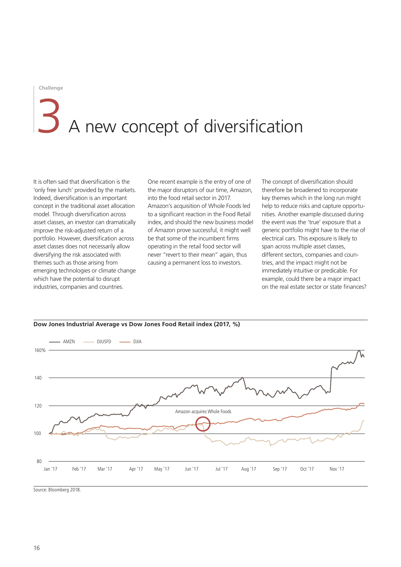# A new concept of diversification

It is often said that diversifcation is the 'only free lunch' provided by the markets. Indeed, diversification is an important concept in the traditional asset allocation model. Through diversification across asset classes, an investor can dramatically improve the risk-adjusted return of a portfolio. However, diversification across asset classes does not necessarily allow diversifying the risk associated with themes such as those arising from emerging technologies or climate change which have the potential to disrupt industries, companies and countries.

One recent example is the entry of one of the major disruptors of our time, Amazon, into the food retail sector in 2017. Amazon's acquisition of Whole Foods led to a significant reaction in the Food Retail index, and should the new business model of Amazon prove successful, it might well be that some of the incumbent firms operating in the retail food sector will never "revert to their mean" again, thus causing a permanent loss to investors.

The concept of diversification should therefore be broadened to incorporate key themes which in the long run might help to reduce risks and capture opportunities. Another example discussed during the event was the 'true' exposure that a generic portfolio might have to the rise of electrical cars. This exposure is likely to span across multiple asset classes, different sectors, companies and countries, and the impact might not be immediately intuitive or predicable. For example, could there be a major impact on the real estate sector or state fnances?



**Dow Jones Industrial Average vs Dow Jones Food Retail index (2017, %)** 

Source: Bloomberg 2018.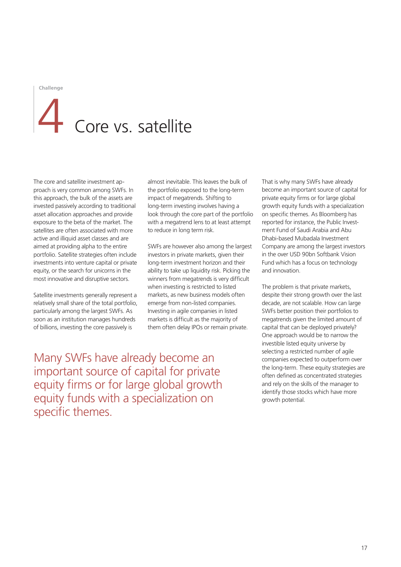## Core vs. satellite

The core and satellite investment approach is very common among SWFs. In this approach, the bulk of the assets are invested passively according to traditional asset allocation approaches and provide exposure to the beta of the market. The satellites are often associated with more active and illiquid asset classes and are aimed at providing alpha to the entire portfolio. Satellite strategies often include investments into venture capital or private equity, or the search for unicorns in the most innovative and disruptive sectors.

Satellite investments generally represent a relatively small share of the total portfolio, particularly among the largest SWFs. As soon as an institution manages hundreds of billions, investing the core passively is

almost inevitable. This leaves the bulk of the portfolio exposed to the long-term impact of megatrends. Shifting to long-term investing involves having a look through the core part of the portfolio with a megatrend lens to at least attempt to reduce in long term risk.

SWFs are however also among the largest investors in private markets, given their long-term investment horizon and their ability to take up liquidity risk. Picking the winners from megatrends is very difficult when investing is restricted to listed markets, as new business models often emerge from non-listed companies. Investing in agile companies in listed markets is difficult as the majority of them often delay IPOs or remain private.

Many SWFs have already become an important source of capital for private equity firms or for large global growth equity funds with a specialization on specific themes.

That is why many SWFs have already become an important source of capital for private equity firms or for large global growth equity funds with a specialization on specific themes. As Bloomberg has reported for instance, the Public Investment Fund of Saudi Arabia and Abu Dhabi-based Mubadala Investment Company are among the largest investors in the over USD 90bn Softbank Vision Fund which has a focus on technology and innovation.

The problem is that private markets. despite their strong growth over the last decade, are not scalable. How can large SWFs better position their portfolios to megatrends given the limited amount of capital that can be deployed privately? One approach would be to narrow the investible listed equity universe by selecting a restricted number of agile companies expected to outperform over the long-term. These equity strategies are often defined as concentrated strategies and rely on the skills of the manager to identify those stocks which have more growth potential.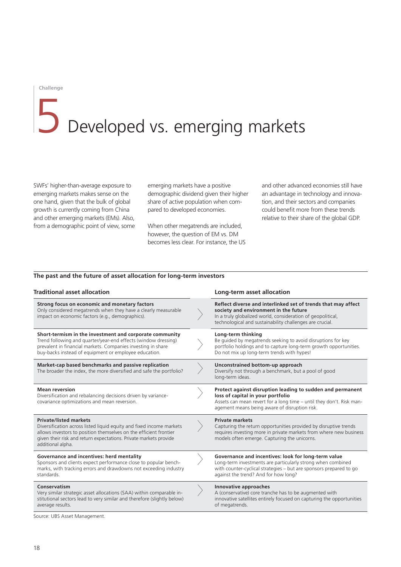# 5 Developed vs. emerging markets

SWFs' higher-than-average exposure to emerging markets makes sense on the one hand, given that the bulk of global growth is currently coming from China and other emerging markets (EMs). Also, from a demographic point of view, some emerging markets have a positive demographic dividend given their higher share of active population when compared to developed economies.

When other megatrends are included, however, the question of EM vs. DM becomes less clear. For instance, the US and other advanced economies still have an advantage in technology and innovation, and their sectors and companies could benefit more from these trends relative to their share of the global GDP.

#### **The past and the future of asset allocation for long-term investors**

| <b>Traditional asset allocation</b>                                                                                                                                                                                                                                  |  | Long-term asset allocation                                                                                                                                                                                                        |  |
|----------------------------------------------------------------------------------------------------------------------------------------------------------------------------------------------------------------------------------------------------------------------|--|-----------------------------------------------------------------------------------------------------------------------------------------------------------------------------------------------------------------------------------|--|
| Strong focus on economic and monetary factors<br>Only considered megatrends when they have a clearly measurable<br>impact on economic factors (e.g., demographics).                                                                                                  |  | Reflect diverse and interlinked set of trends that may affect<br>society and environment in the future<br>In a truly globalized world, consideration of geopolitical,<br>technological and sustainability challenges are crucial. |  |
| Short-termism in the investment and corporate community<br>Trend following and quarter/year-end effects (window dressing)<br>prevalent in financial markets. Companies investing in share<br>buy-backs instead of equipment or employee education.                   |  | Long-term thinking<br>Be guided by megatrends seeking to avoid disruptions for key<br>portfolio holdings and to capture long-term growth opportunities.<br>Do not mix up long-term trends with hypes!                             |  |
| Market-cap based benchmarks and passive replication<br>The broader the index, the more diversified and safe the portfolio?                                                                                                                                           |  | Unconstrained bottom-up approach<br>Diversify not through a benchmark, but a pool of good<br>long-term ideas.                                                                                                                     |  |
| <b>Mean reversion</b><br>Diversification and rebalancing decisions driven by variance-<br>covariance optimizations and mean reversion.                                                                                                                               |  | Protect against disruption leading to sudden and permanent<br>loss of capital in your portfolio<br>Assets can mean revert for a long time - until they don't. Risk man-<br>agement means being aware of disruption risk.          |  |
| <b>Private/listed markets</b><br>Diversification across listed liquid equity and fixed income markets<br>allows investors to position themselves on the efficient frontier<br>given their risk and return expectations. Private markets provide<br>additional alpha. |  | <b>Private markets</b><br>Capturing the return opportunities provided by disruptive trends<br>requires investing more in private markets from where new business<br>models often emerge. Capturing the unicorns.                  |  |
| Governance and incentives: herd mentality<br>Sponsors and clients expect performance close to popular bench-<br>marks, with tracking errors and drawdowns not exceeding industry<br>standards.                                                                       |  | Governance and incentives: look for long-term value<br>Long-term investments are particularly strong when combined<br>with counter-cyclical strategies – but are sponsors prepared to go<br>against the trend? And for how long?  |  |
| Conservatism<br>Very similar strategic asset allocations (SAA) within comparable in-<br>stitutional sectors lead to very similar and therefore (slightly below)<br>average results.                                                                                  |  | Innovative approaches<br>A (conservative) core tranche has to be augmented with<br>innovative satellites entirely focused on capturing the opportunities<br>of megatrends.                                                        |  |

Source: UBS Asset Management.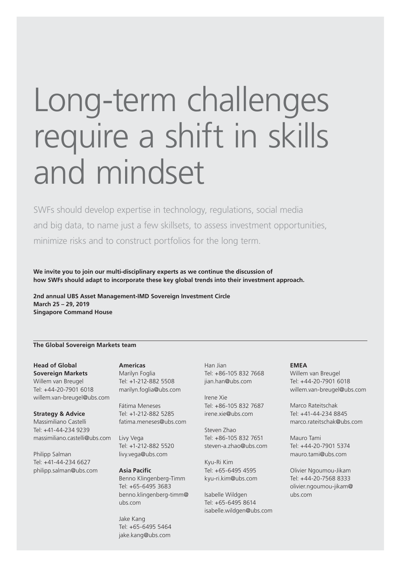## Long-term challenges require a shift in skills and mindset

SWFs should develop expertise in technology, regulations, social media and big data, to name just a few skillsets, to assess investment opportunities, minimize risks and to construct portfolios for the long term.

**We invite you to join our multi-disciplinary experts as we continue the discussion of how SWFs should adapt to incorporate these key global trends into their investment approach.** 

**2nd annual UBS Asset Management-IMD Sovereign Investment Circle March 25 – 29, 2019 Singapore Command House** 

#### **The Global Sovereign Markets team**

**Head of Global Sovereign Markets**  Willem van Breugel Tel: +44-20-7901 6018 [willem.van-breugel@ubs.com](mailto:willem.van-breugel@ubs.com) 

**Strategy & Advice**  Massimiliano Castelli Tel: +41-44-234 9239 [massimiliano.castelli@ubs.com](mailto:massimiliano.castelli@ubs.com) 

Philipp Salman Tel: +41-44-234 6627 [philipp.salman@ubs.com](mailto:philipp.salman@ubs.com)  **Americas** 

Marilyn Foglia Tel: +1-212-882 5508 [marilyn.foglia@ubs.com](mailto:marilyn.foglia@ubs.com)

Fátima Meneses Tel: +1-212-882 5285 [fatima.meneses@ubs.com](mailto:fatima.meneses@ubs.com) 

Livy Vega Tel: +1-212-882 5520 [livy.vega@ubs.com](mailto:livy.vega@ubs.com) 

**Asia Pacific**  Benno Klingenberg-Timm Tel: +65-6495 3683 benno.klingenberg-timm@ ubs.com

Jake Kang Tel: +65-6495 5464 [jake.kang@ubs.com](mailto:jake.kang@ubs.com)

Han Jian Tel: +86-105 832 7668 [jian.han@ubs.com](mailto:jian.han@ubs.com) 

Irene Xie Tel: +86-105 832 7687 [irene.xie@ubs.com](mailto:irene.xie@ubs.com) 

Steven Zhao Tel: +86-105 832 7651 [steven-a.zhao@ubs.com](mailto:steven-a.zhao@ubs.com)

Kyu-Ri Kim Tel: +65-6495 4595 [kyu-ri.kim@ubs.com](mailto:kyu-ri.kim@ubs.com)

Isabelle Wildgen Tel: +65-6495 8614 [isabelle.wildgen@ubs.com](mailto:isabelle.wildgen@ubs.com) 

#### **EMEA**

Willem van Breugel Tel: +44-20-7901 6018 [willem.van-breugel@ubs.com](mailto:willem.van-breugel@ubs.com) 

Marco Rateitschak Tel: +41-44-234 8845 [marco.rateitschak@ubs.com](mailto:marco.rateitschak@ubs.com)

Mauro Tami Tel: +44-20-7901 5374 [mauro.tami@ubs.com](mailto:mauro.tami@ubs.com) 

Olivier Ngoumou-Jikam Tel: +44-20-7568 8333 olivier.ngoumou-jikam@ ubs.com